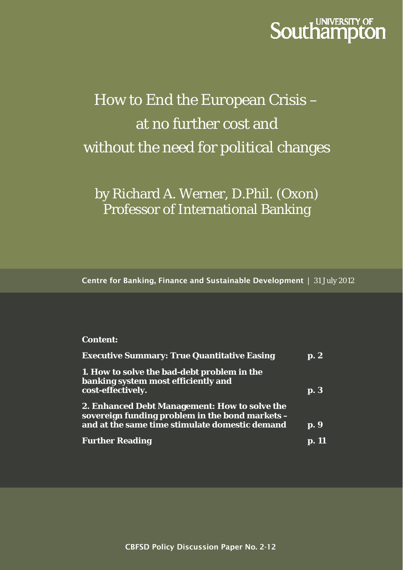# **Southampton**

# How to End the European Crisis – at no further cost and without the need for political changes

by Richard A. Werner, D.Phil. (Oxon) Professor of International Banking

**Centre for Banking, Finance and Sustainable Development** | 31 July 2012

#### **Content:**

| <b>Executive Summary: True Quantitative Easing</b>                                                                                                 | $\mathbf{p}$ . $2$ |
|----------------------------------------------------------------------------------------------------------------------------------------------------|--------------------|
| 1. How to solve the bad-debt problem in the<br>banking system most efficiently and<br>cost-effectively.                                            | p. 3               |
| 2. Enhanced Debt Management: How to solve the<br>sovereign funding problem in the bond markets -<br>and at the same time stimulate domestic demand | p. 9               |
| <b>Further Reading</b>                                                                                                                             |                    |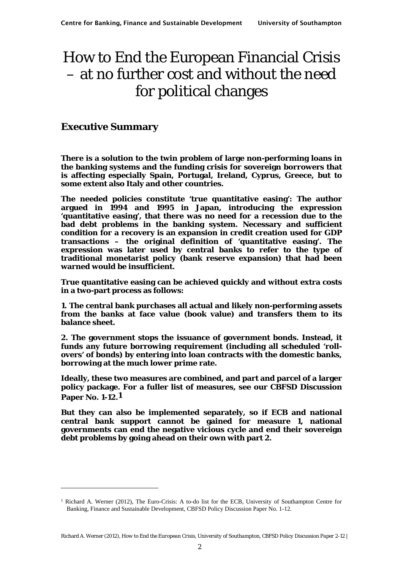# How to End the European Financial Crisis – at no further cost and without the need for political changes

### **Executive Summary**

-

**There is a solution to the twin problem of large non-performing loans in the banking systems and the funding crisis for sovereign borrowers that is affecting especially Spain, Portugal, Ireland, Cyprus, Greece, but to some extent also Italy and other countries.** 

**The needed policies constitute 'true quantitative easing': The author argued in 1994 and 1995 in Japan, introducing the expression 'quantitative easing', that there was no need for a recession due to the bad debt problems in the banking system. Necessary and sufficient condition for a recovery is an expansion in credit creation used for GDP transactions – the original definition of 'quantitative easing'. The expression was later used by central banks to refer to the type of traditional monetarist policy (bank reserve expansion) that had been warned would be insufficient.** 

**True quantitative easing can be achieved quickly and without extra costs in a two-part process as follows:** 

**1. The central bank purchases all actual and likely non-performing assets from the banks at face value (book value) and transfers them to its balance sheet.** 

**2. The government stops the issuance of government bonds. Instead, it funds any future borrowing requirement (including all scheduled 'rollovers' of bonds) by entering into loan contracts with the domestic banks, borrowing at the much lower prime rate.** 

**Ideally, these two measures are combined, and part and parcel of a larger policy package. For a fuller list of measures, see our CBFSD Discussion Paper No. 1-12.1**

**But they can also be implemented separately, so if ECB and national central bank support cannot be gained for measure 1, national governments can end the negative vicious cycle and end their sovereign debt problems by going ahead on their own with part 2.** 

<sup>1</sup> Richard A. Werner (2012), The Euro-Crisis: A to-do list for the ECB, University of Southampton Centre for Banking, Finance and Sustainable Development, CBFSD Policy Discussion Paper No. 1-12.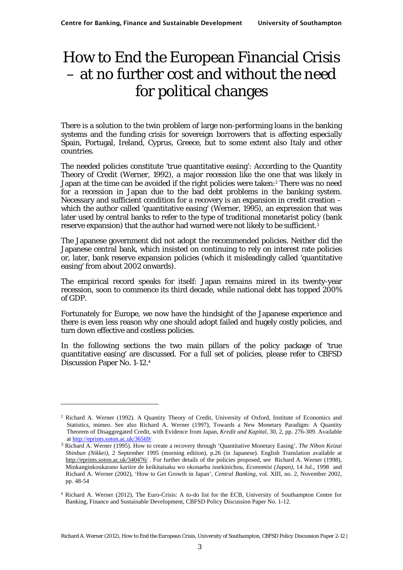# How to End the European Financial Crisis – at no further cost and without the need for political changes

There is a solution to the twin problem of large non-performing loans in the banking systems and the funding crisis for sovereign borrowers that is affecting especially Spain, Portugal, Ireland, Cyprus, Greece, but to some extent also Italy and other countries.

The needed policies constitute 'true quantitative easing': According to the Quantity Theory of Credit (Werner, 1992), a major recession like the one that was likely in Japan at the time can be avoided if the right policies were taken:<sup>2</sup> There was no need for a recession in Japan due to the bad debt problems in the banking system. Necessary and sufficient condition for a recovery is an expansion in credit creation – which the author called 'quantitative easing' (Werner, 1995), an expression that was later used by central banks to refer to the type of traditional monetarist policy (bank reserve expansion) that the author had warned were not likely to be sufficient.<sup>3</sup>

The Japanese government did not adopt the recommended policies. Neither did the Japanese central bank, which insisted on continuing to rely on interest rate policies or, later, bank reserve expansion policies (which it misleadingly called 'quantitative easing' from about 2002 onwards).

The empirical record speaks for itself: Japan remains mired in its twenty-year recession, soon to commence its third decade, while national debt has topped 200% of GDP.

Fortunately for Europe, we now have the hindsight of the Japanese experience and there is even less reason why one should adopt failed and hugely costly policies, and turn down effective and costless policies.

In the following sections the two main pillars of the policy package of 'true quantitative easing' are discussed. For a full set of policies, please refer to CBFSD Discussion Paper No. 1-12.4

<sup>2</sup> Richard A. Werner (1992). A Quantity Theory of Credit, University of Oxford, Institute of Economics and Statistics, mimeo. See also Richard A. Werner (1997), Towards a New Monetary Paradigm: A Quantity Theorem of Disaggregated Credit, with Evidence from Japan, *Kredit und Kapital*, 30, 2, pp. 276-309. Available at http://eprints.soton.ac.uk/36569/

<sup>3</sup> Richard A. Werner (1995). How to create a recovery through 'Quantitative Monetary Easing'. *The Nihon Keizai Shinbun (Nikkei)*, 2 September 1995 (morning edition), p.26 (in Japanese). English Translation available at http://eprints.soton.ac.uk/340476/ . For further details of the policies proposed, see Richard A. Werner (1998), Minkanginkoukarano kariire de keikitaisaku wo okonaeba issekinichou, *Economist (Japan)*, 14 Jul., 1998 and Richard A. Werner (2002), 'How to Get Growth in Japan', *Central Banking*, vol. XIII, no. 2, November 2002, pp. 48-54

<sup>4</sup> Richard A. Werner (2012), The Euro-Crisis: A to-do list for the ECB, University of Southampton Centre for Banking, Finance and Sustainable Development, CBFSD Policy Discussion Paper No. 1-12.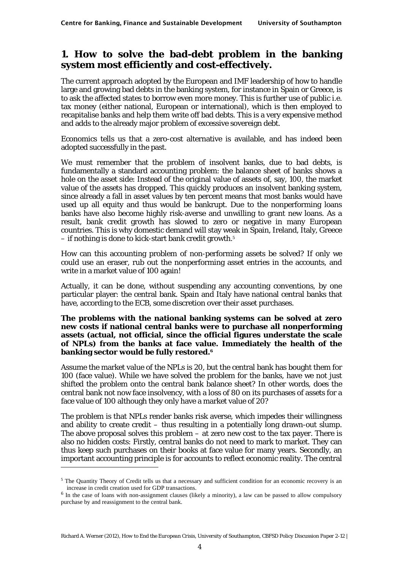### **1. How to solve the bad-debt problem in the banking system most efficiently and cost-effectively.**

The current approach adopted by the European and IMF leadership of how to handle large and growing bad debts in the banking system, for instance in Spain or Greece, is to ask the affected states to borrow even more money. This is further use of public i.e. tax money (either national, European or international), which is then employed to recapitalise banks and help them write off bad debts. This is a very expensive method and adds to the already major problem of excessive sovereign debt.

Economics tells us that a zero-cost alternative is available, and has indeed been adopted successfully in the past.

We must remember that the problem of insolvent banks, due to bad debts, is fundamentally a standard accounting problem: the balance sheet of banks shows a hole on the asset side: Instead of the original value of assets of, say, 100, the market value of the assets has dropped. This quickly produces an insolvent banking system, since already a fall in asset values by ten percent means that most banks would have used up all equity and thus would be bankrupt. Due to the nonperforming loans banks have also become highly risk-averse and unwilling to grant new loans. As a result, bank credit growth has slowed to zero or negative in many European countries. This is why domestic demand will stay weak in Spain, Ireland, Italy, Greece – if nothing is done to kick-start bank credit growth.5

How can this accounting problem of non-performing assets be solved? If only we could use an eraser, rub out the nonperforming asset entries in the accounts, and write in a market value of 100 again!

Actually, it can be done, without suspending any accounting conventions, by one particular player: the central bank. Spain and Italy have national central banks that have, according to the ECB, some discretion over their asset purchases.

#### **The problems with the national banking systems can be solved at zero new costs if national central banks were to purchase all nonperforming assets (actual, not official, since the official figures understate the scale of NPLs) from the banks at face value. Immediately the health of the banking sector would be fully restored.6**

Assume the market value of the NPLs is 20, but the central bank has bought them for 100 (face value). While we have solved the problem for the banks, have we not just shifted the problem onto the central bank balance sheet? In other words, does the central bank not now face insolvency, with a loss of 80 on its purchases of assets for a face value of 100 although they only have a market value of 20?

The problem is that NPLs render banks risk averse, which impedes their willingness and ability to create credit – thus resulting in a potentially long drawn-out slump. The above proposal solves this problem  $-$  at zero new cost to the tax payer. There is also no hidden costs: Firstly, central banks do not need to mark to market. They can thus keep such purchases on their books at face value for many years. Secondly, an important accounting principle is for accounts to reflect economic reality. The central -

<sup>&</sup>lt;sup>5</sup> The Quantity Theory of Credit tells us that a necessary and sufficient condition for an economic recovery is an increase in credit creation used for GDP transactions.

<sup>6</sup> In the case of loans with non-assignment clauses (likely a minority), a law can be passed to allow compulsory purchase by and reassignment to the central bank.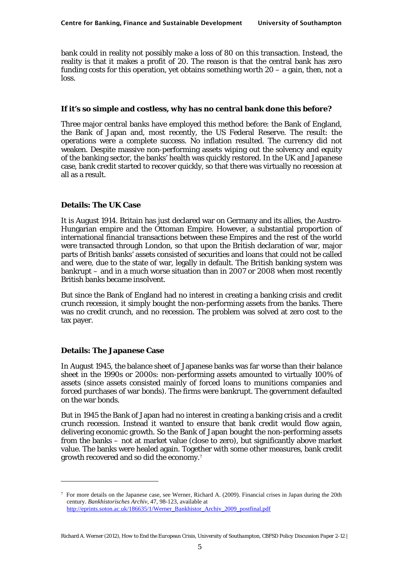bank could in reality not possibly make a loss of 80 on this transaction. Instead, the reality is that it makes a profit of 20. The reason is that the central bank has zero funding costs for this operation, yet obtains something worth  $20 - a$  gain, then, not a loss.

#### **If it's so simple and costless, why has no central bank done this before?**

Three major central banks have employed this method before: the Bank of England, the Bank of Japan and, most recently, the US Federal Reserve. The result: the operations were a complete success. No inflation resulted. The currency did not weaken. Despite massive non-performing assets wiping out the solvency and equity of the banking sector, the banks' health was quickly restored. In the UK and Japanese case, bank credit started to recover quickly, so that there was virtually no recession at all as a result.

#### **Details: The UK Case**

It is August 1914. Britain has just declared war on Germany and its allies, the Austro-Hungarian empire and the Ottoman Empire. However, a substantial proportion of international financial transactions between these Empires and the rest of the world were transacted through London, so that upon the British declaration of war, major parts of British banks' assets consisted of securities and loans that could not be called and were, due to the state of war, legally in default. The British banking system was bankrupt – and in a much worse situation than in 2007 or 2008 when most recently British banks became insolvent.

But since the Bank of England had no interest in creating a banking crisis and credit crunch recession, it simply bought the non-performing assets from the banks. There was no credit crunch, and no recession. The problem was solved at zero cost to the tax payer.

#### **Details: The Japanese Case**

-

In August 1945, the balance sheet of Japanese banks was far worse than their balance sheet in the 1990s or 2000s: non-performing assets amounted to virtually 100% of assets (since assets consisted mainly of forced loans to munitions companies and forced purchases of war bonds). The firms were bankrupt. The government defaulted on the war bonds.

But in 1945 the Bank of Japan had no interest in creating a banking crisis and a credit crunch recession. Instead it wanted to ensure that bank credit would flow again, delivering economic growth. So the Bank of Japan bought the non-performing assets from the banks – not at market value (close to zero), but significantly above market value. The banks were healed again. Together with some other measures, bank credit growth recovered and so did the economy.7

 $7$  For more details on the Japanese case, see Werner, Richard A. (2009). Financial crises in Japan during the 20th century. *Bankhistorisches Archiv*, 47, 98-123, available at http://eprints.soton.ac.uk/186635/1/Werner\_Bankhistor\_Archiv\_2009\_postfinal.pdf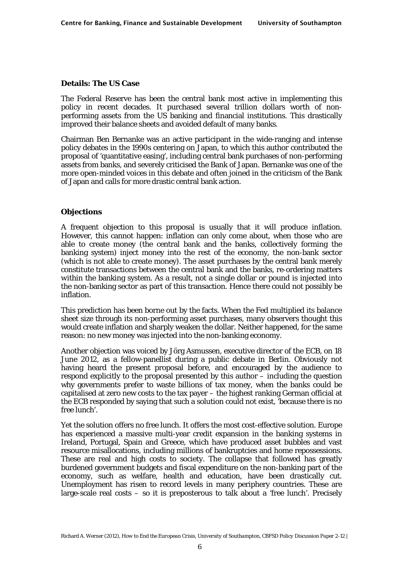#### **Details: The US Case**

The Federal Reserve has been the central bank most active in implementing this policy in recent decades. It purchased several trillion dollars worth of nonperforming assets from the US banking and financial institutions. This drastically improved their balance sheets and avoided default of many banks.

Chairman Ben Bernanke was an active participant in the wide-ranging and intense policy debates in the 1990s centering on Japan, to which this author contributed the proposal of 'quantitative easing', including central bank purchases of non-performing assets from banks, and severely criticised the Bank of Japan. Bernanke was one of the more open-minded voices in this debate and often joined in the criticism of the Bank of Japan and calls for more drastic central bank action.

#### **Objections**

A frequent objection to this proposal is usually that it will produce inflation. However, this cannot happen: inflation can only come about, when those who are able to create money (the central bank and the banks, collectively forming the banking system) inject money into the rest of the economy, the non-bank sector (which is not able to create money). The asset purchases by the central bank merely constitute transactions between the central bank and the banks, re-ordering matters *within* the banking system. As a result, not a single dollar or pound is injected into the non-banking sector as part of this transaction. Hence there could not possibly be inflation.

This prediction has been borne out by the facts. When the Fed multiplied its balance sheet size through its non-performing asset purchases, many observers thought this would create inflation and sharply weaken the dollar. Neither happened, for the same reason: no new money was injected into the non-banking economy.

Another objection was voiced by Jörg Asmussen, executive director of the ECB, on 18 June 2012, as a fellow-panellist during a public debate in Berlin. Obviously not having heard the present proposal before, and encouraged by the audience to respond explicitly to the proposal presented by this author – including the question why governments prefer to waste billions of tax money, when the banks could be capitalised at zero new costs to the tax payer – the highest ranking German official at the ECB responded by saying that such a solution could not exist, 'because there is no free lunch'.

Yet the solution offers no free lunch. It offers the most cost-effective solution. Europe has experienced a massive multi-year credit expansion in the banking systems in Ireland, Portugal, Spain and Greece, which have produced asset bubbles and vast resource misallocations, including millions of bankruptcies and home repossessions. These are real and high costs to society. The collapse that followed has greatly burdened government budgets and fiscal expenditure on the non-banking part of the economy, such as welfare, health and education, have been drastically cut. Unemployment has risen to record levels in many periphery countries. These are large-scale real costs  $-$  so it is preposterous to talk about a 'free lunch'. Precisely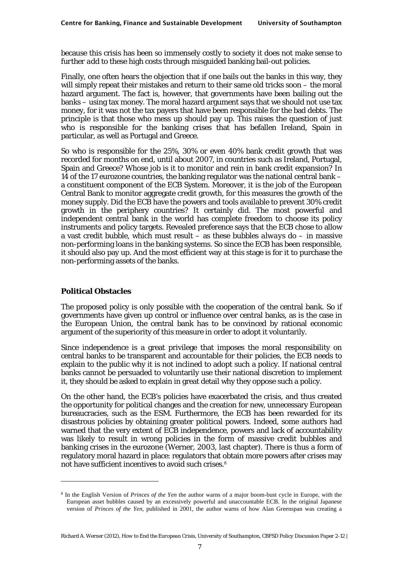because this crisis has been so immensely costly to society it does not make sense to *further add* to these high costs through misguided banking bail-out policies.

Finally, one often hears the objection that if one bails out the banks in this way, they will simply repeat their mistakes and return to their same old tricks soon – the moral hazard argument. The fact is, however, that governments have been bailing out the banks – using tax money. The moral hazard argument says that we should not use tax money, for it was not the tax payers that have been responsible for the bad debts. The principle is that those who mess up should pay up. This raises the question of just who is responsible for the banking crises that has befallen Ireland, Spain in particular, as well as Portugal and Greece.

So who is responsible for the 25%, 30% or even 40% bank credit growth that was recorded for months on end, until about 2007, in countries such as Ireland, Portugal, Spain and Greece? Whose job is it to monitor and rein in bank credit expansion? In 14 of the 17 eurozone countries, the banking regulator was the national central bank – a constituent component of the ECB System. Moreover, it is the job of the European Central Bank to monitor aggregate credit growth, for this measures the growth of the money supply. Did the ECB have the powers and tools available to prevent 30% credit growth in the periphery countries? It certainly did. The most powerful and independent central bank in the world has complete freedom to choose its policy instruments and policy targets. Revealed preference says that the ECB chose to allow a vast credit bubble, which must result – as these bubbles *always* do – in massive non-performing loans in the banking systems. So since the ECB has been responsible, it should also pay up. And the most efficient way at this stage is for it to purchase the non-performing assets of the banks.

#### **Political Obstacles**

1

The proposed policy is only possible with the cooperation of the central bank. So if governments have given up control or influence over central banks, as is the case in the European Union, the central bank has to be convinced by rational economic argument of the superiority of this measure in order to adopt it voluntarily.

Since independence is a great privilege that imposes the moral responsibility on central banks to be transparent and accountable for their policies, the ECB needs to explain to the public why it is not inclined to adopt such a policy. If national central banks cannot be persuaded to voluntarily use their national discretion to implement it, they should be asked to explain in great detail why they oppose such a policy.

On the other hand, the ECB's policies have exacerbated the crisis, and thus created the opportunity for political changes and the creation for new, unnecessary European bureaucracies, such as the ESM. Furthermore, the ECB has been rewarded for its disastrous policies by obtaining greater political powers. Indeed, some authors had warned that the very extent of ECB independence, powers and lack of accountability was likely to result in wrong policies in the form of massive credit bubbles and banking crises in the eurozone (Werner, 2003, last chapter). There is thus a form of regulatory moral hazard in place: regulators that obtain more powers after crises may not have sufficient incentives to avoid such crises.8

<sup>8</sup> In the English Version of *Princes of the Yen* the author warns of a major boom-bust cycle in Europe, with the European asset bubbles caused by an excessively powerful and unaccountable ECB. In the original Japanese version of *Princes of the Yen*, published in 2001, the author warns of how Alan Greenspan was creating a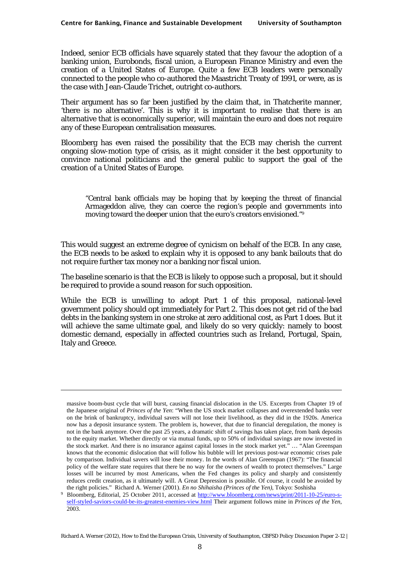Indeed, senior ECB officials have squarely stated that they favour the adoption of a banking union, Eurobonds, fiscal union, a European Finance Ministry and even the creation of a United States of Europe. Quite a few ECB leaders were personally connected to the people who co-authored the Maastricht Treaty of 1991, or were, as is the case with Jean-Claude Trichet, outright co-authors.

Their argument has so far been justified by the claim that, in Thatcherite manner, 'there is no alternative'. This is why it is important to realise that there is an alternative that is economically superior, will maintain the euro and does not require any of these European centralisation measures.

Bloomberg has even raised the possibility that the ECB may cherish the current ongoing slow-motion type of crisis, as it might consider it the best opportunity to convince national politicians and the general public to support the goal of the creation of a United States of Europe.

"Central bank officials may be hoping that by keeping the threat of financial Armageddon alive, they can coerce the region's people and governments into moving toward the deeper union that the euro's creators envisioned."9

This would suggest an extreme degree of cynicism on behalf of the ECB. In any case, the ECB needs to be asked to explain why it is opposed to any bank bailouts that do *not* require further tax money nor a banking nor fiscal union.

The baseline scenario is that the ECB is likely to oppose such a proposal, but it should be required to provide a sound reason for such opposition.

While the ECB is unwilling to adopt Part 1 of this proposal, national-level government policy should opt immediately for Part 2. This does not get rid of the bad debts in the banking system in one stroke at zero additional cost, as Part 1 does. But it will achieve the same ultimate goal, and likely do so very quickly: namely to boost domestic demand, especially in affected countries such as Ireland, Portugal, Spain, Italy and Greece.

massive boom-bust cycle that will burst, causing financial dislocation in the US. Excerpts from Chapter 19 of the Japanese original of *Princes of the Yen*: "When the US stock market collapses and overextended banks veer on the brink of bankruptcy, individual savers will not lose their livelihood, as they did in the 1920s. America now has a deposit insurance system. The problem is, however, that due to financial deregulation, the money is not in the bank anymore. Over the past 25 years, a dramatic shift of savings has taken place, from bank deposits to the equity market. Whether directly or via mutual funds, up to 50% of individual savings are now invested in the stock market. And there is no insurance against capital losses in the stock market yet." … "Alan Greenspan knows that the economic dislocation that will follow his bubble will let previous post-war economic crises pale by comparison. Individual savers will lose their money. In the words of Alan Greenspan (1967): "The financial policy of the welfare state requires that there be no way for the owners of wealth to protect themselves." Large losses will be incurred by most Americans, when the Fed changes its policy and sharply and consistently reduces credit creation, as it ultimately will. A Great Depression is possible. Of course, it could be avoided by

the right policies." Richard A. Werner (2001). *En no Shihaisha (Princes of the Yen)*, Tokyo: Soshisha Bloomberg, Editorial, 25 October 2011, accessed at http://www.bloomberg.com/news/print/2011-10-25/euro-sself-styled-saviors-could-be-its-greatest-enemies-view.html Their argument follows mine in *Princes of the Yen*, 2003.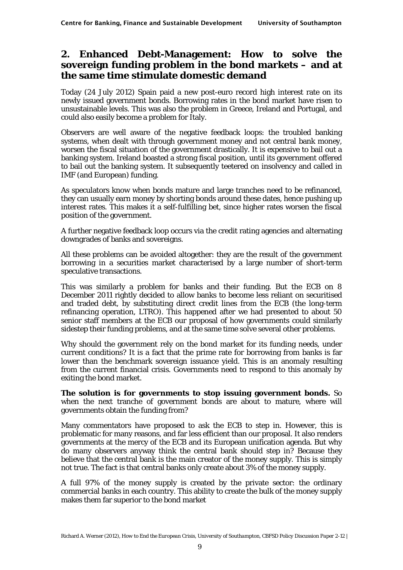### **2. Enhanced Debt-Management: How to solve the sovereign funding problem in the bond markets – and at the same time stimulate domestic demand**

Today (24 July 2012) Spain paid a new post-euro record high interest rate on its newly issued government bonds. Borrowing rates in the bond market have risen to unsustainable levels. This was also the problem in Greece, Ireland and Portugal, and could also easily become a problem for Italy.

Observers are well aware of the negative feedback loops: the troubled banking systems, when dealt with through government money and not central bank money, worsen the fiscal situation of the government drastically. It is expensive to bail out a banking system. Ireland boasted a strong fiscal position, until its government offered to bail out the banking system. It subsequently teetered on insolvency and called in IMF (and European) funding.

As speculators know when bonds mature and large tranches need to be refinanced, they can usually earn money by shorting bonds around these dates, hence pushing up interest rates. This makes it a self-fulfilling bet, since higher rates worsen the fiscal position of the government.

A further negative feedback loop occurs via the credit rating agencies and alternating downgrades of banks and sovereigns.

All these problems can be avoided altogether: they are the result of the government borrowing in a securities market characterised by a large number of short-term speculative transactions.

This was similarly a problem for banks and their funding. But the ECB on 8 December 2011 rightly decided to allow banks to become less reliant on securitised and traded debt, by substituting direct credit lines from the ECB (the long-term refinancing operation, LTRO). This happened after we had presented to about 50 senior staff members at the ECB our proposal of how governments could similarly sidestep their funding problems, and at the same time solve several other problems.

Why should the government rely on the bond market for its funding needs, under current conditions? It is a fact that the prime rate for borrowing from banks is far lower than the benchmark sovereign issuance yield. This is an anomaly resulting from the current financial crisis. Governments need to respond to this anomaly by exiting the bond market.

**The solution is for governments to stop issuing government bonds.** So when the next tranche of government bonds are about to mature, where will governments obtain the funding from?

Many commentators have proposed to ask the ECB to step in. However, this is problematic for many reasons, and far less efficient than our proposal. It also renders governments at the mercy of the ECB and its European unification agenda. But why do many observers anyway think the central bank should step in? Because they believe that the central bank is the main creator of the money supply. This is simply not true. The fact is that central banks only create about 3% of the money supply.

A full 97% of the money supply is created by the private sector: the ordinary commercial banks in each country. This ability to create the bulk of the money supply makes them far superior to the bond market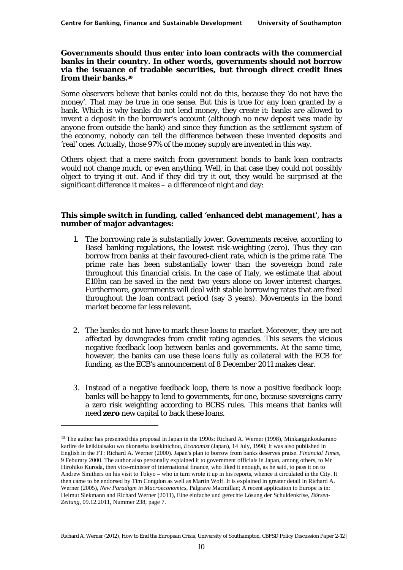#### **Governments should thus enter into loan contracts with the commercial banks in their country. In other words, governments should not borrow via the issuance of tradable securities, but through direct credit lines from their banks.10**

Some observers believe that banks could not do this, because they 'do not have the money'. That may be true in one sense. But this is true for any loan granted by a bank. Which is why banks do not lend money, they create it: banks are allowed to invent a deposit in the borrower's account (although no new deposit was made by anyone from outside the bank) and since they function as the settlement system of the economy, nobody can tell the difference between these invented deposits and 'real' ones. Actually, those 97% of the money supply are invented in this way.

Others object that a mere switch from government bonds to bank loan contracts would not change much, or even anything. Well, in that case they could not possibly object to trying it out. And if they did try it out, they would be surprised at the significant difference it makes – a difference of night and day:

#### **This simple switch in funding, called 'enhanced debt management', has a number of major advantages:**

- 1. The borrowing rate is substantially lower. Governments receive, according to Basel banking regulations, the lowest risk-weighting (zero). Thus they can borrow from banks at their favoured-client rate, which is the prime rate. The prime rate has been substantially lower than the sovereign bond rate throughout this financial crisis. In the case of Italy, we estimate that about E10bn can be saved in the next two years alone on lower interest charges. Furthermore, governments will deal with stable borrowing rates that are fixed throughout the loan contract period (say 3 years). Movements in the bond market become far less relevant.
- 2. The banks do not have to mark these loans to market. Moreover, they are not affected by downgrades from credit rating agencies. This severs the vicious negative feedback loop between banks and governments. At the same time, however, the banks can use these loans fully as collateral with the ECB for funding, as the ECB's announcement of 8 December 2011 makes clear.
- 3. Instead of a negative feedback loop, there is now a positive feedback loop: banks will be happy to lend to governments, for one, because sovereigns carry a zero risk weighting according to BCBS rules. This means that banks will need **zero** new capital to back these loans.

<sup>10</sup> The author has presented this proposal in Japan in the 1990s: Richard A. Werner (1998), Minkanginkoukarano kariire de keikitaisaku wo okonaeba issekinichou, *Economist* (Japan), 14 July, 1998; It was also published in English in the FT: Richard A. Werner (2000). Japan's plan to borrow from banks deserves praise. *Financial Times*, 9 Feburary 2000. The author also personally explained it to government officials in Japan, among others, to Mr Hirohiko Kuroda, then vice-minister of international finance, who liked it enough, as he said, to pass it on to Andrew Smithers on his visit to Tokyo – who in turn wrote it up in his reports, whence it circulated in the City. It then came to be endorsed by Tim Congdon as well as Martin Wolf. It is explained in greater detail in Richard A. Werner (2005), *New Paradigm in Macroeconomics*, Palgrave Macmillan; A recent application to Europe is in: Helmut Siekmann and Richard Werner (2011), Eine einfache und gerechte Lösung der Schuldenkrise, *Börsen-Zeitung*, 09.12.2011, Nummer 238, page 7.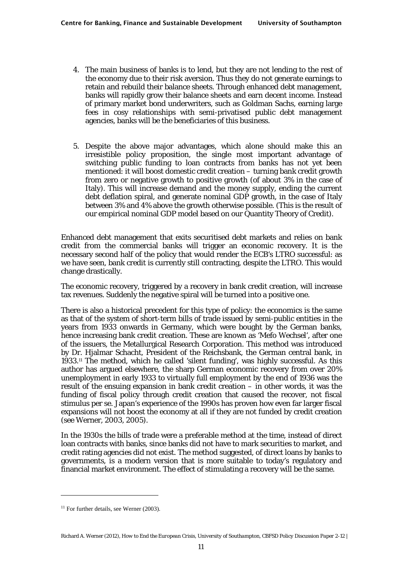- 4. The main business of banks is to lend, but they are not lending to the rest of the economy due to their risk aversion. Thus they do not generate earnings to retain and rebuild their balance sheets. Through enhanced debt management, banks will rapidly grow their balance sheets and earn decent income. Instead of primary market bond underwriters, such as Goldman Sachs, earning large fees in cosy relationships with semi-privatised public debt management agencies, banks will be the beneficiaries of this business.
- 5. Despite the above major advantages, which alone should make this an irresistible policy proposition, the single most important advantage of switching public funding to loan contracts from banks has not yet been mentioned: it will boost domestic credit creation – turning bank credit growth from zero or negative growth to positive growth (of about 3% in the case of Italy). This will increase demand and the money supply, ending the current debt deflation spiral, and generate nominal GDP growth, in the case of Italy between 3% and 4% above the growth otherwise possible. (This is the result of our empirical nominal GDP model based on our Quantity Theory of Credit).

Enhanced debt management that exits securitised debt markets and relies on bank credit from the commercial banks will trigger an economic recovery. It is the necessary second half of the policy that would render the ECB's LTRO successful: as we have seen, bank credit is currently still contracting, despite the LTRO. This would change drastically.

The economic recovery, triggered by a recovery in bank credit creation, will increase tax revenues. Suddenly the negative spiral will be turned into a positive one.

There is also a historical precedent for this type of policy: the economics is the same as that of the system of short-term bills of trade issued by semi-public entities in the years from 1933 onwards in Germany, which were bought by the German banks, hence increasing bank credit creation. These are known as 'Mefo Wechsel', after one of the issuers, the Metallurgical Research Corporation. This method was introduced by Dr. Hjalmar Schacht, President of the Reichsbank, the German central bank, in 1933.11 The method, which he called 'silent funding', was highly successful. As this author has argued elsewhere, the sharp German economic recovery from over 20% unemployment in early 1933 to virtually full employment by the end of 1936 was the result of the ensuing expansion in bank credit creation – in other words, it was the funding of fiscal policy through credit creation that caused the recover, not fiscal stimulus per se. Japan's experience of the 1990s has proven how even far larger fiscal expansions will not boost the economy at all if they are not funded by credit creation (see Werner, 2003, 2005).

In the 1930s the bills of trade were a preferable method at the time, instead of direct loan contracts with banks, since banks did not have to mark securities to market, and credit rating agencies did not exist. The method suggested, of direct loans by banks to governments, is a modern version that is more suitable to today's regulatory and financial market environment. The effect of stimulating a recovery will be the same.

<sup>&</sup>lt;sup>11</sup> For further details, see Werner (2003).